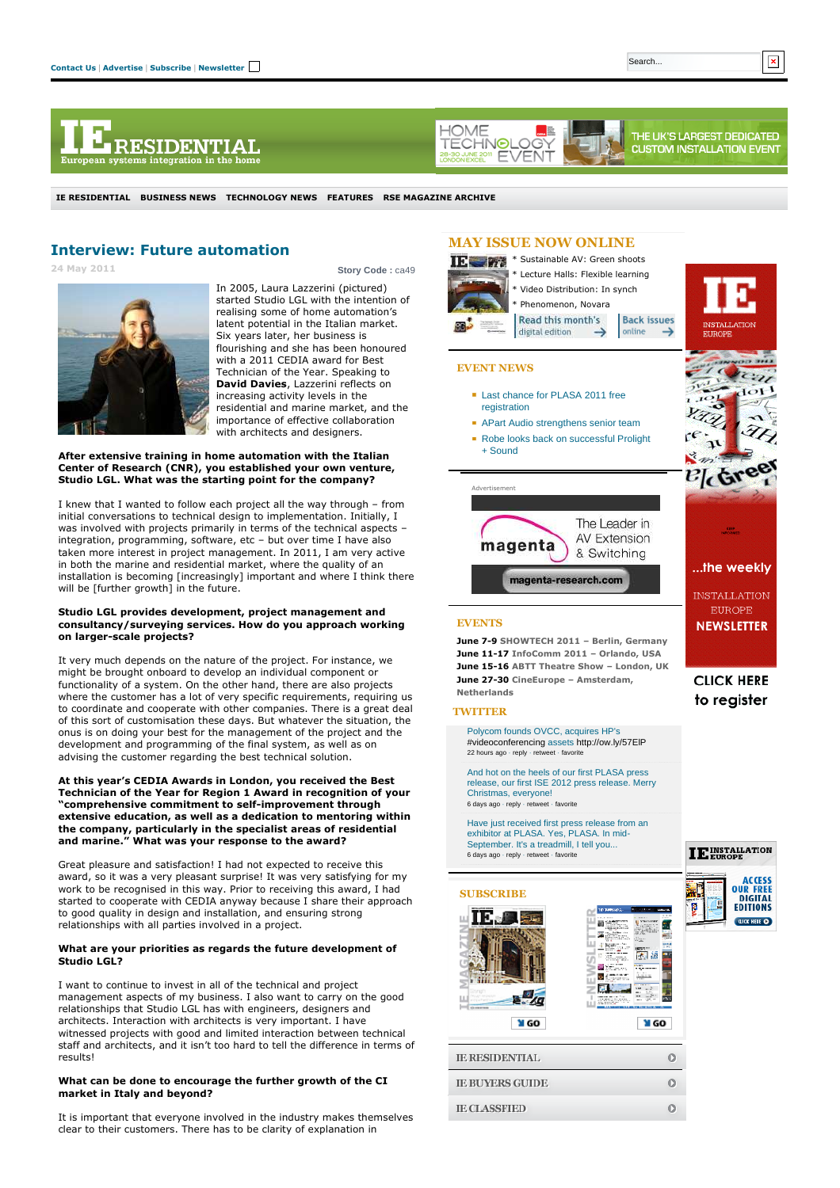



THE UK'S LARGEST DEDICATED<br>CUSTOM INSTALLATION EVENT

**IE RESIDENTIAL BUSINESS NEWS TECHNOLOGY NEWS FEATURES RSE MAGAZINE ARCHIVE**

## **Interview: Future automation**

**24 May 2011 Story Code :** ca49



In 2005, Laura Lazzerini (pictured) started Studio LGL with the intention of realising some of home automation's latent potential in the Italian market. Six years later, her business is flourishing and she has been honoured with a 2011 CEDIA award for Best Technician of the Year. Speaking to **David Davies**, Lazzerini reflects on increasing activity levels in the residential and marine market, and the importance of effective collaboration with architects and designers.

**After extensive training in home automation with the Italian Center of Research (CNR), you established your own venture, Studio LGL. What was the starting point for the company?**

I knew that I wanted to follow each project all the way through – from initial conversations to technical design to implementation. Initially, I was involved with projects primarily in terms of the technical aspects integration, programming, software, etc – but over time I have also taken more interest in project management. In 2011, I am very active in both the marine and residential market, where the quality of an installation is becoming [increasingly] important and where I think there will be [further growth] in the future.

#### **Studio LGL provides development, project management and consultancy/surveying services. How do you approach working on larger-scale projects?**

It very much depends on the nature of the project. For instance, we might be brought onboard to develop an individual component or functionality of a system. On the other hand, there are also projects where the customer has a lot of very specific requirements, requiring us to coordinate and cooperate with other companies. There is a great deal of this sort of customisation these days. But whatever the situation, the onus is on doing your best for the management of the project and the development and programming of the final system, as well as on advising the customer regarding the best technical solution.

#### **At this year's CEDIA Awards in London, you received the Best Technician of the Year for Region 1 Award in recognition of your "comprehensive commitment to self-improvement through extensive education, as well as a dedication to mentoring within the company, particularly in the specialist areas of residential and marine." What was your response to the award?**

Great pleasure and satisfaction! I had not expected to receive this award, so it was a very pleasant surprise! It was very satisfying for my work to be recognised in this way. Prior to receiving this award, I had started to cooperate with CEDIA anyway because I share their approach to good quality in design and installation, and ensuring strong relationships with all parties involved in a project.

#### **What are your priorities as regards the future development of Studio LGL?**

I want to continue to invest in all of the technical and project management aspects of my business. I also want to carry on the good relationships that Studio LGL has with engineers, designers and architects. Interaction with architects is very important. I have witnessed projects with good and limited interaction between technical staff and architects, and it isn't too hard to tell the difference in terms of results!

### **What can be done to encourage the further growth of the CI market in Italy and beyond?**

It is important that everyone involved in the industry makes themselves clear to their customers. There has to be clarity of explanation in

# **MAY ISSUE NOW ONLINE**



\* Sustainable AV: Green shoots Lecture Halls: Flexible learning \* Video Distribution: In synch Phenomenon, Novara Read this month's **Back issues** digital edition online  $\rightarrow$ 



#### **EVENT NEWS**

- **Last chance for PLASA 2011 free** registration
- **APart Audio strengthens senior team** Robe looks back on successful Prolight
- + Sound



# the weekly. **INSTALLATION EUROPE NEWSLETTER**

**CLICK HERE** to register

**IE** INSTALLATION

 $\frac{3}{2}$ 

#### **EVENTS**

**June 7-9 SHOWTECH 2011 – Berlin, Germany June 11-17 InfoComm 2011 – Orlando, USA June 15-16 ABTT Theatre Show – London, UK June 27-30 CineEurope – Amsterdam, Netherlands**

#### **TWITTER**

Polycom founds OVCC, acquires HP's #videoconferencing assets http://ow.ly/57ElP  $22$  hours ago  $\cdot$  reply  $\cdot$  ret

And hot on the heels of our first PLASA press release, our first ISE 2012 press release. Merry Christmas, everyone! 6 days ago · reply · retweet · favorite

Have just received first press release from an exhibitor at PLASA. Yes, PLASA. In mid-September. It's a treadmill, I tell you... 6 days ago · reply · retweet · favorite